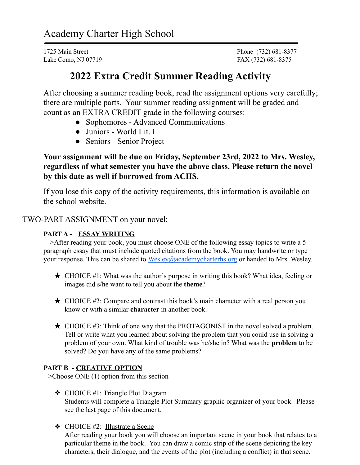Lake Como, NJ 07719 **FAX** (732) 681-8375

1725 Main Street Phone (732) 681-8377

# **2022 Extra Credit Summer Reading Activity**

After choosing a summer reading book, read the assignment options very carefully; there are multiple parts. Your summer reading assignment will be graded and count as an EXTRA CREDIT grade in the following courses:

- Sophomores Advanced Communications
- Juniors World Lit. I
- Seniors Senior Project

**Your assignment will be due on Friday, September 23rd, 2022 to Mrs. Wesley, regardless of what semester you have the above class. Please return the novel by this date as well if borrowed from ACHS.**

If you lose this copy of the activity requirements, this information is available on the school website.

TWO-PART ASSIGNMENT on your novel:

### **PART A - ESSAY WRITING**

-->After reading your book, you must choose ONE of the following essay topics to write a 5 paragraph essay that must include quoted citations from the book. You may handwrite or type your response. This can be shared to [Wesley@academycharterhs.org](mailto:wesley@academycharterhs.org) or handed to Mrs. Wesley.

- $\star$  CHOICE #1: What was the author's purpose in writing this book? What idea, feeling or images did s/he want to tell you about the **theme**?
- $\star$  CHOICE #2: Compare and contrast this book's main character with a real person you know or with a similar **character** in another book.
- ★ CHOICE #3: Think of one way that the PROTAGONIST in the novel solved a problem. Tell or write what you learned about solving the problem that you could use in solving a problem of your own. What kind of trouble was he/she in? What was the **problem** to be solved? Do you have any of the same problems?

### **PART B - CREATIVE OPTION**

-->Choose ONE (1) option from this section

- ❖ CHOICE #1: Triangle Plot Diagram Students will complete a Triangle Plot Summary graphic organizer of your book. Please see the last page of this document.
- ❖ CHOICE #2: Illustrate a Scene

After reading your book you will choose an important scene in your book that relates to a particular theme in the book. You can draw a comic strip of the scene depicting the key characters, their dialogue, and the events of the plot (including a conflict) in that scene.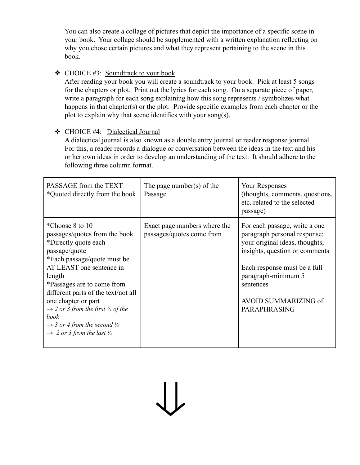You can also create a collage of pictures that depict the importance of a specific scene in your book. Your collage should be supplemented with a written explanation reflecting on why you chose certain pictures and what they represent pertaining to the scene in this book.

#### $\triangleleft$  CHOICE #3: Soundtrack to your book

After reading your book you will create a soundtrack to your book. Pick at least 5 songs for the chapters or plot. Print out the lyrics for each song. On a separate piece of paper, write a paragraph for each song explaining how this song represents / symbolizes what happens in that chapter(s) or the plot. Provide specific examples from each chapter or the plot to explain why that scene identifies with your song(s).

#### ❖ CHOICE #4: Dialectical Journal

A dialectical journal is also known as a double entry journal or reader response journal. For this, a reader records a dialogue or conversation between the ideas in the text and his or her own ideas in order to develop an understanding of the text. It should adhere to the following three column format.

| PASSAGE from the TEXT<br>*Quoted directly from the book                                                                                                                                                                                                                                                                                                                                                                                  | The page number(s) of the<br>Passage                      | <b>Your Responses</b><br>(thoughts, comments, questions,<br>etc. related to the selected<br>passage)                                                                                                                                                        |
|------------------------------------------------------------------------------------------------------------------------------------------------------------------------------------------------------------------------------------------------------------------------------------------------------------------------------------------------------------------------------------------------------------------------------------------|-----------------------------------------------------------|-------------------------------------------------------------------------------------------------------------------------------------------------------------------------------------------------------------------------------------------------------------|
| *Choose 8 to 10<br>passages/quotes from the book<br>*Directly quote each<br>passage/quote<br>*Each passage/quote must be<br>AT LEAST one sentence in<br>length<br>*Passages are to come from<br>different parts of the text/not all<br>one chapter or part<br>$\rightarrow$ 2 or 3 from the first $\frac{1}{3}$ of the<br>book<br>$\rightarrow$ 3 or 4 from the second $\frac{1}{3}$<br>$\rightarrow$ 2 or 3 from the last $\frac{1}{3}$ | Exact page numbers where the<br>passages/quotes come from | For each passage, write a one<br>paragraph personal response:<br>your original ideas, thoughts,<br>insights, question or comments<br>Each response must be a full<br>paragraph-minimum 5<br>sentences<br><b>AVOID SUMMARIZING of</b><br><b>PARAPHRASING</b> |

⇓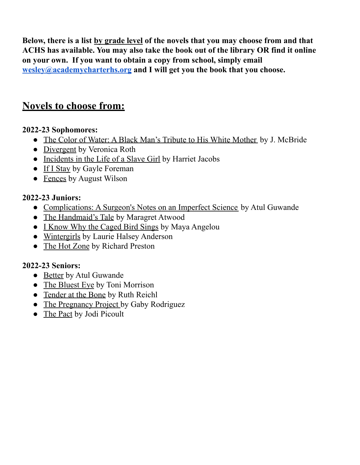**Below, there is a list by grade level of the novels that you may choose from and that ACHS has available. You may also take the book out of the library OR find it online on your own. If you want to obtain a copy from school, simply email [wesley@academycharterhs.org](mailto:wesley@academycharterhs.org) and I will get you the book that you choose.**

# **Novels to choose from:**

## **2022-23 Sophomores:**

- The Color of Water: A Black Man's Tribute to His White Mother by J. McBride
- Divergent by Veronica Roth
- Incidents in the Life of a Slave Girl by Harriet Jacobs
- If I Stay by Gayle Foreman
- Fences by August Wilson

## **2022-23 Juniors:**

- Complications: A Surgeon's Notes on an Imperfect Science by Atul Guwande
- The Handmaid's Tale by Maragret Atwood
- I Know Why the Caged Bird Sings by Maya Angelou
- Wintergirls by Laurie Halsey Anderson
- The Hot Zone by Richard Preston

## **2022-23 Seniors:**

- Better by Atul Guwande
- The Bluest Eye by Toni Morrison
- Tender at the Bone by Ruth Reichl
- The Pregnancy Project by Gaby Rodriguez
- The Pact by Jodi Picoult